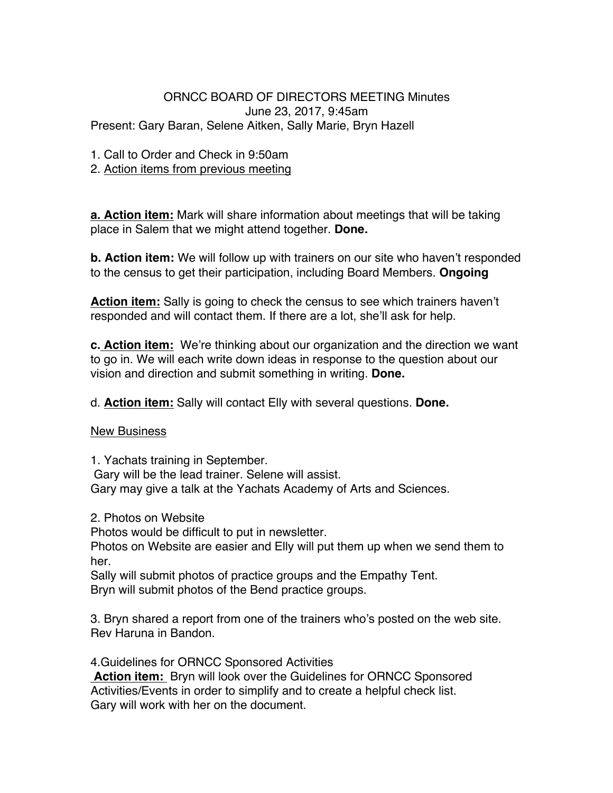## ORNCC BOARD OF DIRECTORS MEETING Minutes June 23, 2017, 9:45am Present: Gary Baran, Selene Aitken, Sally Marie, Bryn Hazell

- 1. Call to Order and Check in 9:50am
- 2. Action items from previous meeting

**a. Action item:** Mark will share information about meetings that will be taking place in Salem that we might attend together. **Done.**

**b. Action item:** We will follow up with trainers on our site who haven't responded to the census to get their participation, including Board Members. **Ongoing**

**Action item:** Sally is going to check the census to see which trainers haven't responded and will contact them. If there are a lot, she'll ask for help.

**c. Action item:** We're thinking about our organization and the direction we want to go in. We will each write down ideas in response to the question about our vision and direction and submit something in writing. **Done.**

d. **Action item:** Sally will contact Elly with several questions. **Done.**

New Business

1. Yachats training in September. Gary will be the lead trainer. Selene will assist. Gary may give a talk at the Yachats Academy of Arts and Sciences.

2. Photos on Website

Photos would be difficult to put in newsletter.

Photos on Website are easier and Elly will put them up when we send them to her.

Sally will submit photos of practice groups and the Empathy Tent. Bryn will submit photos of the Bend practice groups.

3. Bryn shared a report from one of the trainers who's posted on the web site. Rev Haruna in Bandon.

4.Guidelines for ORNCC Sponsored Activities

**Action item:** Bryn will look over the Guidelines for ORNCC Sponsored Activities/Events in order to simplify and to create a helpful check list. Gary will work with her on the document.